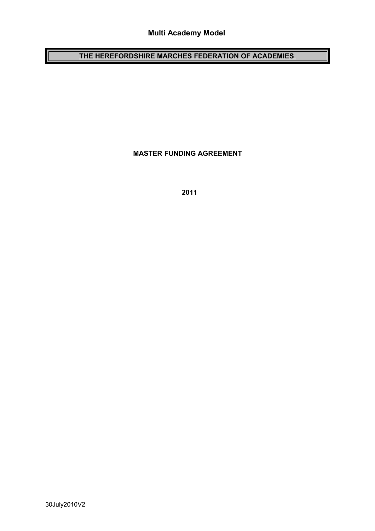# **Multi Academy Model**

# **THE HEREFORDSHIRE MARCHES FEDERATION OF ACADEMIES**

**MASTER FUNDING AGREEMENT**

 **2011**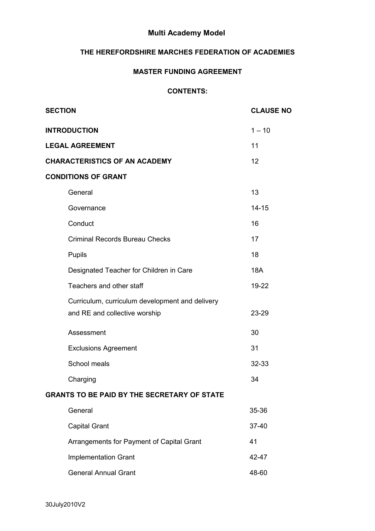# **Multi Academy Model**

## **THE HEREFORDSHIRE MARCHES FEDERATION OF ACADEMIES**

#### **MASTER FUNDING AGREEMENT**

#### **CONTENTS:**

| <b>SECTION</b>                                     |                                                                                  | <b>CLAUSE NO</b> |  |  |
|----------------------------------------------------|----------------------------------------------------------------------------------|------------------|--|--|
|                                                    | <b>INTRODUCTION</b>                                                              | $1 - 10$         |  |  |
| <b>LEGAL AGREEMENT</b>                             |                                                                                  | 11               |  |  |
| <b>CHARACTERISTICS OF AN ACADEMY</b>               |                                                                                  | 12               |  |  |
| <b>CONDITIONS OF GRANT</b>                         |                                                                                  |                  |  |  |
|                                                    | General                                                                          | 13               |  |  |
|                                                    | Governance                                                                       | $14 - 15$        |  |  |
|                                                    | Conduct                                                                          | 16               |  |  |
|                                                    | <b>Criminal Records Bureau Checks</b>                                            | 17               |  |  |
|                                                    | Pupils                                                                           | 18               |  |  |
|                                                    | Designated Teacher for Children in Care                                          | <b>18A</b>       |  |  |
|                                                    | Teachers and other staff                                                         | 19-22            |  |  |
|                                                    | Curriculum, curriculum development and delivery<br>and RE and collective worship | 23-29            |  |  |
|                                                    | Assessment                                                                       | 30               |  |  |
|                                                    | <b>Exclusions Agreement</b>                                                      | 31               |  |  |
|                                                    | School meals                                                                     | 32-33            |  |  |
|                                                    | Charging                                                                         | 34               |  |  |
| <b>GRANTS TO BE PAID BY THE SECRETARY OF STATE</b> |                                                                                  |                  |  |  |
|                                                    | General                                                                          | 35-36            |  |  |
|                                                    | <b>Capital Grant</b>                                                             | 37-40            |  |  |
|                                                    | Arrangements for Payment of Capital Grant                                        | 41               |  |  |
|                                                    | <b>Implementation Grant</b>                                                      | 42-47            |  |  |
|                                                    | <b>General Annual Grant</b>                                                      | 48-60            |  |  |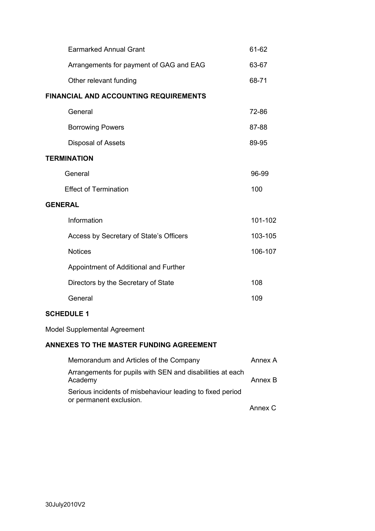| <b>Earmarked Annual Grant</b>                |  | 61-62   |  |  |
|----------------------------------------------|--|---------|--|--|
| Arrangements for payment of GAG and EAG      |  | 63-67   |  |  |
| Other relevant funding                       |  | 68-71   |  |  |
| <b>FINANCIAL AND ACCOUNTING REQUIREMENTS</b> |  |         |  |  |
| General                                      |  | 72-86   |  |  |
| <b>Borrowing Powers</b>                      |  | 87-88   |  |  |
| <b>Disposal of Assets</b>                    |  | 89-95   |  |  |
| <b>TERMINATION</b>                           |  |         |  |  |
| General                                      |  | 96-99   |  |  |
| <b>Effect of Termination</b>                 |  | 100     |  |  |
| <b>GENERAL</b>                               |  |         |  |  |
| Information                                  |  | 101-102 |  |  |
| Access by Secretary of State's Officers      |  | 103-105 |  |  |
| <b>Notices</b>                               |  | 106-107 |  |  |
| Appointment of Additional and Further        |  |         |  |  |
| Directors by the Secretary of State          |  | 108     |  |  |
| General                                      |  | 109     |  |  |
|                                              |  |         |  |  |

## **SCHEDULE 1**

Model Supplemental Agreement

## **ANNEXES TO THE MASTER FUNDING AGREEMENT**

| Memorandum and Articles of the Company                                               | Annex A |
|--------------------------------------------------------------------------------------|---------|
| Arrangements for pupils with SEN and disabilities at each<br>Academy                 | Annex B |
| Serious incidents of misbehaviour leading to fixed period<br>or permanent exclusion. |         |
|                                                                                      | Annex C |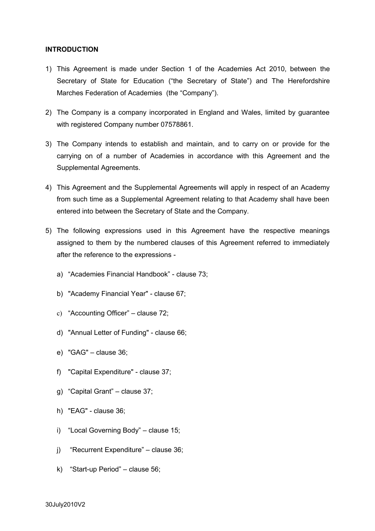#### **INTRODUCTION**

- 1) This Agreement is made under Section 1 of the Academies Act 2010, between the Secretary of State for Education ("the Secretary of State") and The Herefordshire Marches Federation of Academies (the "Company").
- 2) The Company is a company incorporated in England and Wales, limited by guarantee with registered Company number 07578861.
- 3) The Company intends to establish and maintain, and to carry on or provide for the carrying on of a number of Academies in accordance with this Agreement and the Supplemental Agreements.
- 4) This Agreement and the Supplemental Agreements will apply in respect of an Academy from such time as a Supplemental Agreement relating to that Academy shall have been entered into between the Secretary of State and the Company.
- 5) The following expressions used in this Agreement have the respective meanings assigned to them by the numbered clauses of this Agreement referred to immediately after the reference to the expressions
	- a) "Academies Financial Handbook" clause 73;
	- b) "Academy Financial Year" clause 67;
	- c) "Accounting Officer" clause 72;
	- d) "Annual Letter of Funding" clause 66;
	- e) "GAG" clause 36;
	- f) "Capital Expenditure" clause 37;
	- g) "Capital Grant" clause 37;
	- h) "EAG" clause 36;
	- i) "Local Governing Body" clause 15;
	- j) "Recurrent Expenditure" clause 36;
	- k) "Start-up Period" clause 56;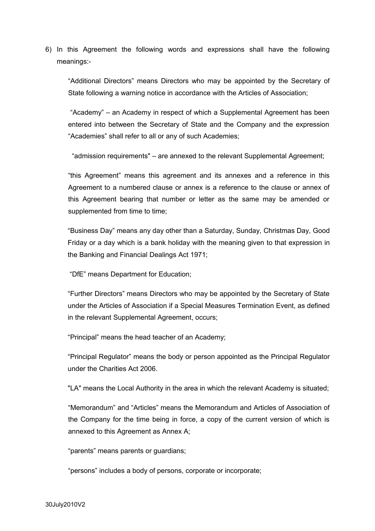6) In this Agreement the following words and expressions shall have the following meanings:-

"Additional Directors" means Directors who may be appointed by the Secretary of State following a warning notice in accordance with the Articles of Association;

 "Academy" – an Academy in respect of which a Supplemental Agreement has been entered into between the Secretary of State and the Company and the expression "Academies" shall refer to all or any of such Academies;

"admission requirements" – are annexed to the relevant Supplemental Agreement;

"this Agreement" means this agreement and its annexes and a reference in this Agreement to a numbered clause or annex is a reference to the clause or annex of this Agreement bearing that number or letter as the same may be amended or supplemented from time to time;

"Business Day" means any day other than a Saturday, Sunday, Christmas Day, Good Friday or a day which is a bank holiday with the meaning given to that expression in the Banking and Financial Dealings Act 1971;

"DfE" means Department for Education;

"Further Directors" means Directors who may be appointed by the Secretary of State under the Articles of Association if a Special Measures Termination Event, as defined in the relevant Supplemental Agreement, occurs;

"Principal" means the head teacher of an Academy;

"Principal Regulator" means the body or person appointed as the Principal Regulator under the Charities Act 2006.

"LA" means the Local Authority in the area in which the relevant Academy is situated;

"Memorandum" and "Articles" means the Memorandum and Articles of Association of the Company for the time being in force, a copy of the current version of which is annexed to this Agreement as Annex A;

"parents" means parents or guardians;

"persons" includes a body of persons, corporate or incorporate;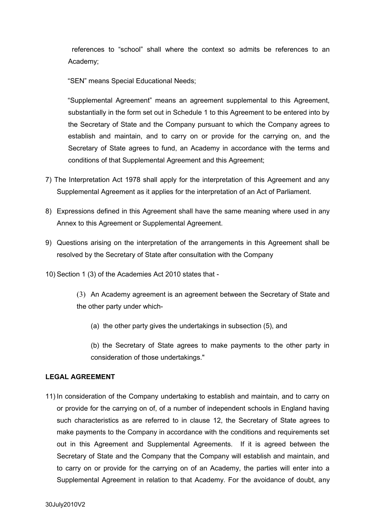references to "school" shall where the context so admits be references to an Academy;

"SEN" means Special Educational Needs;

"Supplemental Agreement" means an agreement supplemental to this Agreement, substantially in the form set out in Schedule 1 to this Agreement to be entered into by the Secretary of State and the Company pursuant to which the Company agrees to establish and maintain, and to carry on or provide for the carrying on, and the Secretary of State agrees to fund, an Academy in accordance with the terms and conditions of that Supplemental Agreement and this Agreement;

- 7) The Interpretation Act 1978 shall apply for the interpretation of this Agreement and any Supplemental Agreement as it applies for the interpretation of an Act of Parliament.
- 8) Expressions defined in this Agreement shall have the same meaning where used in any Annex to this Agreement or Supplemental Agreement.
- 9) Questions arising on the interpretation of the arrangements in this Agreement shall be resolved by the Secretary of State after consultation with the Company
- 10) Section 1 (3) of the Academies Act 2010 states that -

(3) An Academy agreement is an agreement between the Secretary of State and the other party under which-

(a) the other party gives the undertakings in subsection (5), and

(b) the Secretary of State agrees to make payments to the other party in consideration of those undertakings."

#### **LEGAL AGREEMENT**

11) In consideration of the Company undertaking to establish and maintain, and to carry on or provide for the carrying on of, of a number of independent schools in England having such characteristics as are referred to in clause 12, the Secretary of State agrees to make payments to the Company in accordance with the conditions and requirements set out in this Agreement and Supplemental Agreements. If it is agreed between the Secretary of State and the Company that the Company will establish and maintain, and to carry on or provide for the carrying on of an Academy, the parties will enter into a Supplemental Agreement in relation to that Academy. For the avoidance of doubt, any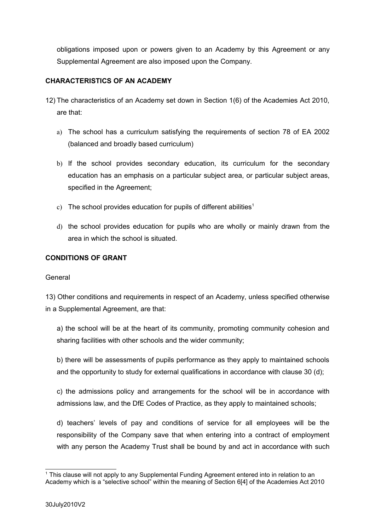obligations imposed upon or powers given to an Academy by this Agreement or any Supplemental Agreement are also imposed upon the Company.

## **CHARACTERISTICS OF AN ACADEMY**

- 12) The characteristics of an Academy set down in Section 1(6) of the Academies Act 2010, are that:
	- a) The school has a curriculum satisfying the requirements of section 78 of EA 2002 (balanced and broadly based curriculum)
	- b) If the school provides secondary education, its curriculum for the secondary education has an emphasis on a particular subject area, or particular subject areas, specified in the Agreement;
	- c) The school provides education for pupils of different abilities<sup>[1](#page-6-0)</sup>
	- d) the school provides education for pupils who are wholly or mainly drawn from the area in which the school is situated.

#### **CONDITIONS OF GRANT**

#### General

13) Other conditions and requirements in respect of an Academy, unless specified otherwise in a Supplemental Agreement, are that:

a) the school will be at the heart of its community, promoting community cohesion and sharing facilities with other schools and the wider community;

b) there will be assessments of pupils performance as they apply to maintained schools and the opportunity to study for external qualifications in accordance with clause 30 (d);

c) the admissions policy and arrangements for the school will be in accordance with admissions law, and the DfE Codes of Practice, as they apply to maintained schools;

d) teachers' levels of pay and conditions of service for all employees will be the responsibility of the Company save that when entering into a contract of employment with any person the Academy Trust shall be bound by and act in accordance with such

<span id="page-6-0"></span><sup>1</sup> This clause will not apply to any Supplemental Funding Agreement entered into in relation to an Academy which is a "selective school" within the meaning of Section 6[4] of the Academies Act 2010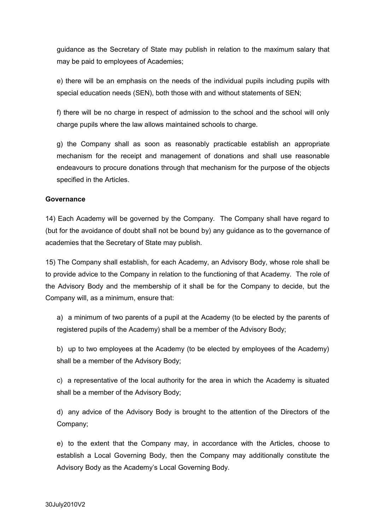guidance as the Secretary of State may publish in relation to the maximum salary that may be paid to employees of Academies;

e) there will be an emphasis on the needs of the individual pupils including pupils with special education needs (SEN), both those with and without statements of SEN;

f) there will be no charge in respect of admission to the school and the school will only charge pupils where the law allows maintained schools to charge.

g) the Company shall as soon as reasonably practicable establish an appropriate mechanism for the receipt and management of donations and shall use reasonable endeavours to procure donations through that mechanism for the purpose of the objects specified in the Articles.

#### **Governance**

14) Each Academy will be governed by the Company. The Company shall have regard to (but for the avoidance of doubt shall not be bound by) any guidance as to the governance of academies that the Secretary of State may publish.

15) The Company shall establish, for each Academy, an Advisory Body, whose role shall be to provide advice to the Company in relation to the functioning of that Academy. The role of the Advisory Body and the membership of it shall be for the Company to decide, but the Company will, as a minimum, ensure that:

a) a minimum of two parents of a pupil at the Academy (to be elected by the parents of registered pupils of the Academy) shall be a member of the Advisory Body;

b) up to two employees at the Academy (to be elected by employees of the Academy) shall be a member of the Advisory Body;

c) a representative of the local authority for the area in which the Academy is situated shall be a member of the Advisory Body;

d) any advice of the Advisory Body is brought to the attention of the Directors of the Company;

e) to the extent that the Company may, in accordance with the Articles, choose to establish a Local Governing Body, then the Company may additionally constitute the Advisory Body as the Academy's Local Governing Body.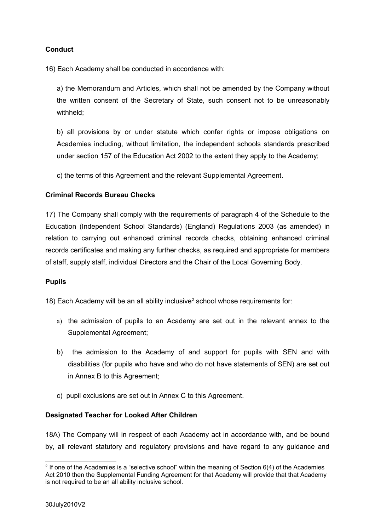## **Conduct**

16) Each Academy shall be conducted in accordance with:

a) the Memorandum and Articles, which shall not be amended by the Company without the written consent of the Secretary of State, such consent not to be unreasonably withheld;

b) all provisions by or under statute which confer rights or impose obligations on Academies including, without limitation, the independent schools standards prescribed under section 157 of the Education Act 2002 to the extent they apply to the Academy;

c) the terms of this Agreement and the relevant Supplemental Agreement.

#### **Criminal Records Bureau Checks**

17) The Company shall comply with the requirements of paragraph 4 of the Schedule to the Education (Independent School Standards) (England) Regulations 2003 (as amended) in relation to carrying out enhanced criminal records checks, obtaining enhanced criminal records certificates and making any further checks, as required and appropriate for members of staff, supply staff, individual Directors and the Chair of the Local Governing Body.

#### **Pupils**

18) Each Academy will be an all ability inclusive<sup>[2](#page-8-0)</sup> school whose requirements for:

- a) the admission of pupils to an Academy are set out in the relevant annex to the Supplemental Agreement;
- b) the admission to the Academy of and support for pupils with SEN and with disabilities (for pupils who have and who do not have statements of SEN) are set out in Annex B to this Agreement;
- c) pupil exclusions are set out in Annex C to this Agreement.

#### **Designated Teacher for Looked After Children**

18A) The Company will in respect of each Academy act in accordance with, and be bound by, all relevant statutory and regulatory provisions and have regard to any guidance and

<span id="page-8-0"></span><sup>2</sup> If one of the Academies is a "selective school" within the meaning of Section 6(4) of the Academies Act 2010 then the Supplemental Funding Agreement for that Academy will provide that that Academy is not required to be an all ability inclusive school.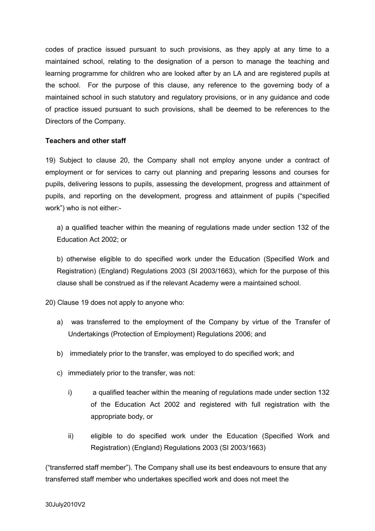codes of practice issued pursuant to such provisions, as they apply at any time to a maintained school, relating to the designation of a person to manage the teaching and learning programme for children who are looked after by an LA and are registered pupils at the school. For the purpose of this clause, any reference to the governing body of a maintained school in such statutory and regulatory provisions, or in any guidance and code of practice issued pursuant to such provisions, shall be deemed to be references to the Directors of the Company.

#### **Teachers and other staff**

19) Subject to clause 20, the Company shall not employ anyone under a contract of employment or for services to carry out planning and preparing lessons and courses for pupils, delivering lessons to pupils, assessing the development, progress and attainment of pupils, and reporting on the development, progress and attainment of pupils ("specified work") who is not either:-

a) a qualified teacher within the meaning of regulations made under section 132 of the Education Act 2002; or

b) otherwise eligible to do specified work under the Education (Specified Work and Registration) (England) Regulations 2003 (SI 2003/1663), which for the purpose of this clause shall be construed as if the relevant Academy were a maintained school.

20) Clause 19 does not apply to anyone who:

- a) was transferred to the employment of the Company by virtue of the Transfer of Undertakings (Protection of Employment) Regulations 2006; and
- b) immediately prior to the transfer, was employed to do specified work; and
- c) immediately prior to the transfer, was not:
	- i) a qualified teacher within the meaning of regulations made under section 132 of the Education Act 2002 and registered with full registration with the appropriate body, or
	- ii) eligible to do specified work under the Education (Specified Work and Registration) (England) Regulations 2003 (SI 2003/1663)

("transferred staff member"). The Company shall use its best endeavours to ensure that any transferred staff member who undertakes specified work and does not meet the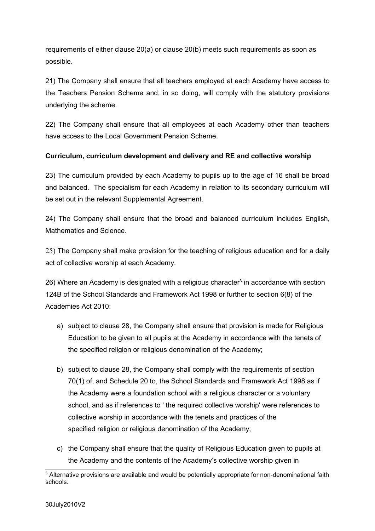requirements of either clause 20(a) or clause 20(b) meets such requirements as soon as possible.

21) The Company shall ensure that all teachers employed at each Academy have access to the Teachers Pension Scheme and, in so doing, will comply with the statutory provisions underlying the scheme.

22) The Company shall ensure that all employees at each Academy other than teachers have access to the Local Government Pension Scheme.

## **Curriculum, curriculum development and delivery and RE and collective worship**

23) The curriculum provided by each Academy to pupils up to the age of 16 shall be broad and balanced. The specialism for each Academy in relation to its secondary curriculum will be set out in the relevant Supplemental Agreement.

24) The Company shall ensure that the broad and balanced curriculum includes English, Mathematics and Science.

25) The Company shall make provision for the teaching of religious education and for a daily act of collective worship at each Academy.

26) Where an Academy is designated with a religious character<sup>[3](#page-10-0)</sup> in accordance with section 124B of the School Standards and Framework Act 1998 or further to section 6(8) of the Academies Act 2010:

- a) subject to clause 28, the Company shall ensure that provision is made for Religious Education to be given to all pupils at the Academy in accordance with the tenets of the specified religion or religious denomination of the Academy;
- b) subject to clause 28, the Company shall comply with the requirements of section 70(1) of, and Schedule 20 to, the School Standards and Framework Act 1998 as if the Academy were a foundation school with a religious character or a voluntary school, and as if references to ' the required collective worship' were references to collective worship in accordance with the tenets and practices of the specified religion or religious denomination of the Academy;
- c) the Company shall ensure that the quality of Religious Education given to pupils at the Academy and the contents of the Academy's collective worship given in

<span id="page-10-0"></span> $3$  Alternative provisions are available and would be potentially appropriate for non-denominational faith schools.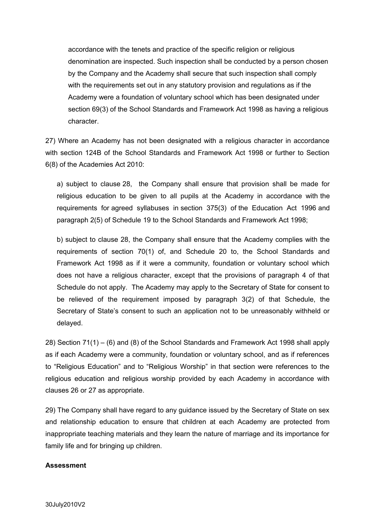accordance with the tenets and practice of the specific religion or religious denomination are inspected. Such inspection shall be conducted by a person chosen by the Company and the Academy shall secure that such inspection shall comply with the requirements set out in any statutory provision and regulations as if the Academy were a foundation of voluntary school which has been designated under section 69(3) of the School Standards and Framework Act 1998 as having a religious character.

27) Where an Academy has not been designated with a religious character in accordance with section 124B of the School Standards and Framework Act 1998 or further to Section 6(8) of the Academies Act 2010:

a) subject to clause 28, the Company shall ensure that provision shall be made for religious education to be given to all pupils at the Academy in accordance with the requirements for agreed syllabuses in section 375(3) of the Education Act 1996 and paragraph 2(5) of Schedule 19 to the School Standards and Framework Act 1998;

b) subject to clause 28, the Company shall ensure that the Academy complies with the requirements of section 70(1) of, and Schedule 20 to, the School Standards and Framework Act 1998 as if it were a community, foundation or voluntary school which does not have a religious character, except that the provisions of paragraph 4 of that Schedule do not apply. The Academy may apply to the Secretary of State for consent to be relieved of the requirement imposed by paragraph 3(2) of that Schedule, the Secretary of State's consent to such an application not to be unreasonably withheld or delayed.

28) Section 71(1) – (6) and (8) of the School Standards and Framework Act 1998 shall apply as if each Academy were a community, foundation or voluntary school, and as if references to "Religious Education" and to "Religious Worship" in that section were references to the religious education and religious worship provided by each Academy in accordance with clauses 26 or 27 as appropriate.

29) The Company shall have regard to any guidance issued by the Secretary of State on sex and relationship education to ensure that children at each Academy are protected from inappropriate teaching materials and they learn the nature of marriage and its importance for family life and for bringing up children.

#### **Assessment**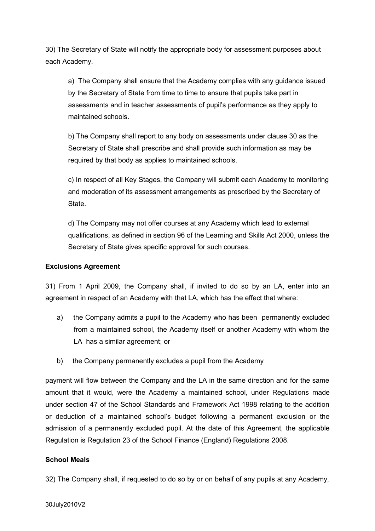30) The Secretary of State will notify the appropriate body for assessment purposes about each Academy.

a) The Company shall ensure that the Academy complies with any guidance issued by the Secretary of State from time to time to ensure that pupils take part in assessments and in teacher assessments of pupil's performance as they apply to maintained schools.

b) The Company shall report to any body on assessments under clause 30 as the Secretary of State shall prescribe and shall provide such information as may be required by that body as applies to maintained schools.

c) In respect of all Key Stages, the Company will submit each Academy to monitoring and moderation of its assessment arrangements as prescribed by the Secretary of State.

d) The Company may not offer courses at any Academy which lead to external qualifications, as defined in section 96 of the Learning and Skills Act 2000, unless the Secretary of State gives specific approval for such courses.

#### **Exclusions Agreement**

31) From 1 April 2009, the Company shall, if invited to do so by an LA, enter into an agreement in respect of an Academy with that LA, which has the effect that where:

- a) the Company admits a pupil to the Academy who has been permanently excluded from a maintained school, the Academy itself or another Academy with whom the LA has a similar agreement; or
- b) the Company permanently excludes a pupil from the Academy

payment will flow between the Company and the LA in the same direction and for the same amount that it would, were the Academy a maintained school, under Regulations made under section 47 of the School Standards and Framework Act 1998 relating to the addition or deduction of a maintained school's budget following a permanent exclusion or the admission of a permanently excluded pupil. At the date of this Agreement, the applicable Regulation is Regulation 23 of the School Finance (England) Regulations 2008.

#### **School Meals**

32) The Company shall, if requested to do so by or on behalf of any pupils at any Academy,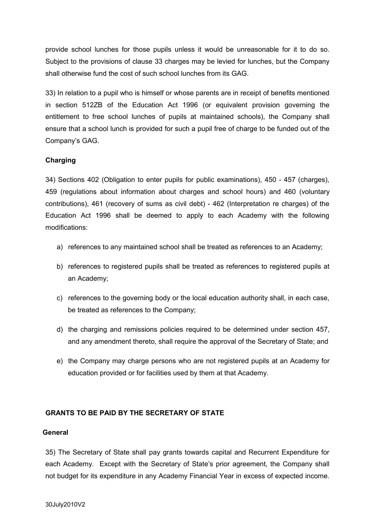provide school lunches for those pupils unless it would be unreasonable for it to do so. Subject to the provisions of clause 33 charges may be levied for lunches, but the Company shall otherwise fund the cost of such school lunches from its GAG.

33) In relation to a pupil who is himself or whose parents are in receipt of benefits mentioned in section 512ZB of the Education Act 1996 (or equivalent provision governing the entitlement to free school lunches of pupils at maintained schools), the Company shall ensure that a school lunch is provided for such a pupil free of charge to be funded out of the Company's GAG.

## **Charging**

34) Sections 402 (Obligation to enter pupils for public examinations), 450 - 457 (charges), 459 (regulations about information about charges and school hours) and 460 (voluntary contributions), 461 (recovery of sums as civil debt) - 462 (Interpretation re charges) of the Education Act 1996 shall be deemed to apply to each Academy with the following modifications:

- a) references to any maintained school shall be treated as references to an Academy;
- b) references to registered pupils shall be treated as references to registered pupils at an Academy;
- c) references to the governing body or the local education authority shall, in each case, be treated as references to the Company;
- d) the charging and remissions policies required to be determined under section 457, and any amendment thereto, shall require the approval of the Secretary of State; and
- e) the Company may charge persons who are not registered pupils at an Academy for education provided or for facilities used by them at that Academy.

## **GRANTS TO BE PAID BY THE SECRETARY OF STATE**

#### **General**

35) The Secretary of State shall pay grants towards capital and Recurrent Expenditure for each Academy. Except with the Secretary of State's prior agreement, the Company shall not budget for its expenditure in any Academy Financial Year in excess of expected income.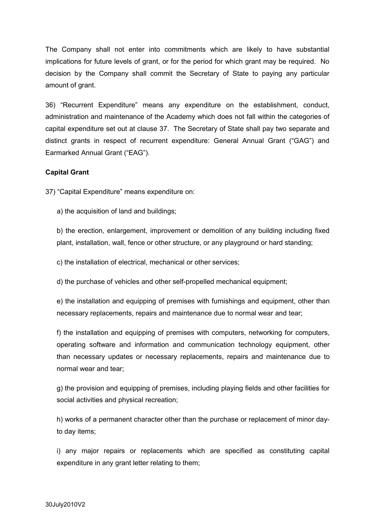The Company shall not enter into commitments which are likely to have substantial implications for future levels of grant, or for the period for which grant may be required. No decision by the Company shall commit the Secretary of State to paying any particular amount of grant.

36) "Recurrent Expenditure" means any expenditure on the establishment, conduct, administration and maintenance of the Academy which does not fall within the categories of capital expenditure set out at clause 37. The Secretary of State shall pay two separate and distinct grants in respect of recurrent expenditure: General Annual Grant ("GAG") and Earmarked Annual Grant ("EAG").

#### **Capital Grant**

37) "Capital Expenditure" means expenditure on:

a) the acquisition of land and buildings;

b) the erection, enlargement, improvement or demolition of any building including fixed plant, installation, wall, fence or other structure, or any playground or hard standing;

c) the installation of electrical, mechanical or other services;

d) the purchase of vehicles and other self-propelled mechanical equipment;

e) the installation and equipping of premises with furnishings and equipment, other than necessary replacements, repairs and maintenance due to normal wear and tear;

f) the installation and equipping of premises with computers, networking for computers, operating software and information and communication technology equipment, other than necessary updates or necessary replacements, repairs and maintenance due to normal wear and tear;

g) the provision and equipping of premises, including playing fields and other facilities for social activities and physical recreation;

h) works of a permanent character other than the purchase or replacement of minor dayto day items;

i) any major repairs or replacements which are specified as constituting capital expenditure in any grant letter relating to them;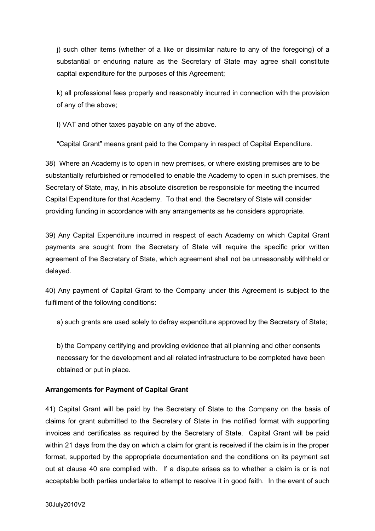j) such other items (whether of a like or dissimilar nature to any of the foregoing) of a substantial or enduring nature as the Secretary of State may agree shall constitute capital expenditure for the purposes of this Agreement;

k) all professional fees properly and reasonably incurred in connection with the provision of any of the above;

l) VAT and other taxes payable on any of the above.

"Capital Grant" means grant paid to the Company in respect of Capital Expenditure.

38) Where an Academy is to open in new premises, or where existing premises are to be substantially refurbished or remodelled to enable the Academy to open in such premises, the Secretary of State, may, in his absolute discretion be responsible for meeting the incurred Capital Expenditure for that Academy. To that end, the Secretary of State will consider providing funding in accordance with any arrangements as he considers appropriate.

39) Any Capital Expenditure incurred in respect of each Academy on which Capital Grant payments are sought from the Secretary of State will require the specific prior written agreement of the Secretary of State, which agreement shall not be unreasonably withheld or delayed.

40) Any payment of Capital Grant to the Company under this Agreement is subject to the fulfilment of the following conditions:

a) such grants are used solely to defray expenditure approved by the Secretary of State;

b) the Company certifying and providing evidence that all planning and other consents necessary for the development and all related infrastructure to be completed have been obtained or put in place.

## **Arrangements for Payment of Capital Grant**

41) Capital Grant will be paid by the Secretary of State to the Company on the basis of claims for grant submitted to the Secretary of State in the notified format with supporting invoices and certificates as required by the Secretary of State. Capital Grant will be paid within 21 days from the day on which a claim for grant is received if the claim is in the proper format, supported by the appropriate documentation and the conditions on its payment set out at clause 40 are complied with. If a dispute arises as to whether a claim is or is not acceptable both parties undertake to attempt to resolve it in good faith. In the event of such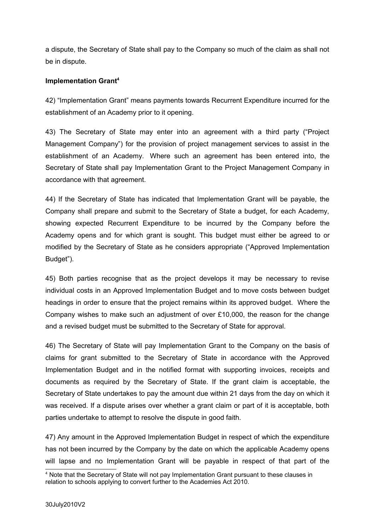a dispute, the Secretary of State shall pay to the Company so much of the claim as shall not be in dispute.

#### **Implementation Grant[4](#page-16-0)**

42) "Implementation Grant" means payments towards Recurrent Expenditure incurred for the establishment of an Academy prior to it opening.

43) The Secretary of State may enter into an agreement with a third party ("Project Management Company") for the provision of project management services to assist in the establishment of an Academy. Where such an agreement has been entered into, the Secretary of State shall pay Implementation Grant to the Project Management Company in accordance with that agreement.

44) If the Secretary of State has indicated that Implementation Grant will be payable, the Company shall prepare and submit to the Secretary of State a budget, for each Academy, showing expected Recurrent Expenditure to be incurred by the Company before the Academy opens and for which grant is sought. This budget must either be agreed to or modified by the Secretary of State as he considers appropriate ("Approved Implementation Budget").

45) Both parties recognise that as the project develops it may be necessary to revise individual costs in an Approved Implementation Budget and to move costs between budget headings in order to ensure that the project remains within its approved budget. Where the Company wishes to make such an adjustment of over £10,000, the reason for the change and a revised budget must be submitted to the Secretary of State for approval.

46) The Secretary of State will pay Implementation Grant to the Company on the basis of claims for grant submitted to the Secretary of State in accordance with the Approved Implementation Budget and in the notified format with supporting invoices, receipts and documents as required by the Secretary of State. If the grant claim is acceptable, the Secretary of State undertakes to pay the amount due within 21 days from the day on which it was received. If a dispute arises over whether a grant claim or part of it is acceptable, both parties undertake to attempt to resolve the dispute in good faith.

47) Any amount in the Approved Implementation Budget in respect of which the expenditure has not been incurred by the Company by the date on which the applicable Academy opens will lapse and no Implementation Grant will be payable in respect of that part of the

<span id="page-16-0"></span><sup>4</sup> Note that the Secretary of State will not pay Implementation Grant pursuant to these clauses in relation to schools applying to convert further to the Academies Act 2010.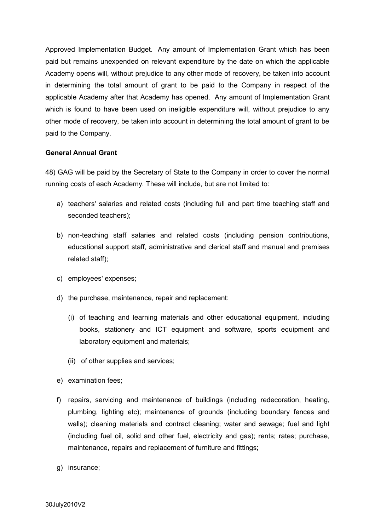Approved Implementation Budget. Any amount of Implementation Grant which has been paid but remains unexpended on relevant expenditure by the date on which the applicable Academy opens will, without prejudice to any other mode of recovery, be taken into account in determining the total amount of grant to be paid to the Company in respect of the applicable Academy after that Academy has opened. Any amount of Implementation Grant which is found to have been used on ineligible expenditure will, without prejudice to any other mode of recovery, be taken into account in determining the total amount of grant to be paid to the Company.

## **General Annual Grant**

48) GAG will be paid by the Secretary of State to the Company in order to cover the normal running costs of each Academy. These will include, but are not limited to:

- a) teachers' salaries and related costs (including full and part time teaching staff and seconded teachers);
- b) non-teaching staff salaries and related costs (including pension contributions, educational support staff, administrative and clerical staff and manual and premises related staff);
- c) employees' expenses;
- d) the purchase, maintenance, repair and replacement:
	- (i) of teaching and learning materials and other educational equipment, including books, stationery and ICT equipment and software, sports equipment and laboratory equipment and materials;
	- (ii) of other supplies and services;
- e) examination fees;
- f) repairs, servicing and maintenance of buildings (including redecoration, heating, plumbing, lighting etc); maintenance of grounds (including boundary fences and walls); cleaning materials and contract cleaning; water and sewage; fuel and light (including fuel oil, solid and other fuel, electricity and gas); rents; rates; purchase, maintenance, repairs and replacement of furniture and fittings;
- g) insurance;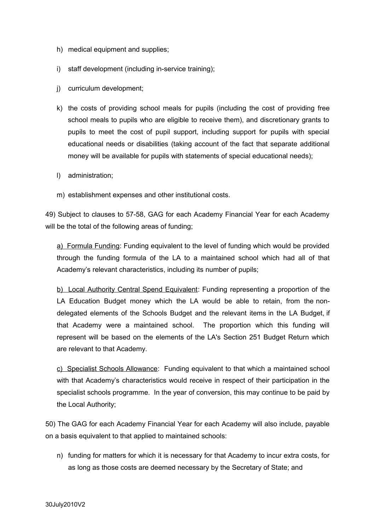- h) medical equipment and supplies;
- i) staff development (including in-service training);
- j) curriculum development;
- k) the costs of providing school meals for pupils (including the cost of providing free school meals to pupils who are eligible to receive them), and discretionary grants to pupils to meet the cost of pupil support, including support for pupils with special educational needs or disabilities (taking account of the fact that separate additional money will be available for pupils with statements of special educational needs);
- l) administration;
- m) establishment expenses and other institutional costs.

49) Subject to clauses to 57-58, GAG for each Academy Financial Year for each Academy will be the total of the following areas of funding;

a) Formula Funding: Funding equivalent to the level of funding which would be provided through the funding formula of the LA to a maintained school which had all of that Academy's relevant characteristics, including its number of pupils;

b) Local Authority Central Spend Equivalent: Funding representing a proportion of the LA Education Budget money which the LA would be able to retain, from the nondelegated elements of the Schools Budget and the relevant items in the LA Budget, if that Academy were a maintained school. The proportion which this funding will represent will be based on the elements of the LA's Section 251 Budget Return which are relevant to that Academy.

c) Specialist Schools Allowance: Funding equivalent to that which a maintained school with that Academy's characteristics would receive in respect of their participation in the specialist schools programme. In the year of conversion, this may continue to be paid by the Local Authority;

50) The GAG for each Academy Financial Year for each Academy will also include, payable on a basis equivalent to that applied to maintained schools:

n) funding for matters for which it is necessary for that Academy to incur extra costs, for as long as those costs are deemed necessary by the Secretary of State; and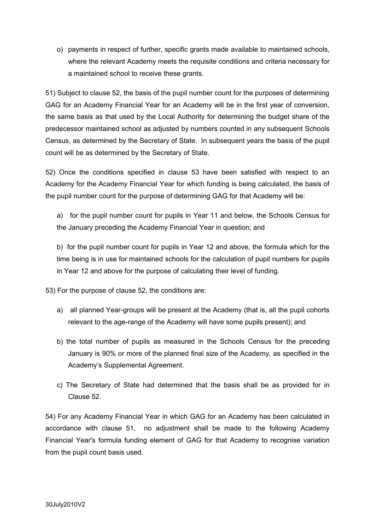o) payments in respect of further, specific grants made available to maintained schools, where the relevant Academy meets the requisite conditions and criteria necessary for a maintained school to receive these grants.

51) Subject to clause 52, the basis of the pupil number count for the purposes of determining GAG for an Academy Financial Year for an Academy will be in the first year of conversion, the same basis as that used by the Local Authority for determining the budget share of the predecessor maintained school as adjusted by numbers counted in any subsequent Schools Census, as determined by the Secretary of State. In subsequent years the basis of the pupil count will be as determined by the Secretary of State.

52) Once the conditions specified in clause 53 have been satisfied with respect to an Academy for the Academy Financial Year for which funding is being calculated, the basis of the pupil number count for the purpose of determining GAG for that Academy will be:

a) for the pupil number count for pupils in Year 11 and below, the Schools Census for the January preceding the Academy Financial Year in question; and

b) for the pupil number count for pupils in Year 12 and above, the formula which for the time being is in use for maintained schools for the calculation of pupil numbers for pupils in Year 12 and above for the purpose of calculating their level of funding.

53) For the purpose of clause 52, the conditions are:

- a) all planned Year-groups will be present at the Academy (that is, all the pupil cohorts relevant to the age-range of the Academy will have some pupils present); and
- b) the total number of pupils as measured in the Schools Census for the preceding January is 90% or more of the planned final size of the Academy, as specified in the Academy's Supplemental Agreement.
- c) The Secretary of State had determined that the basis shall be as provided for in Clause 52.

54) For any Academy Financial Year in which GAG for an Academy has been calculated in accordance with clause 51, no adjustment shall be made to the following Academy Financial Year's formula funding element of GAG for that Academy to recognise variation from the pupil count basis used.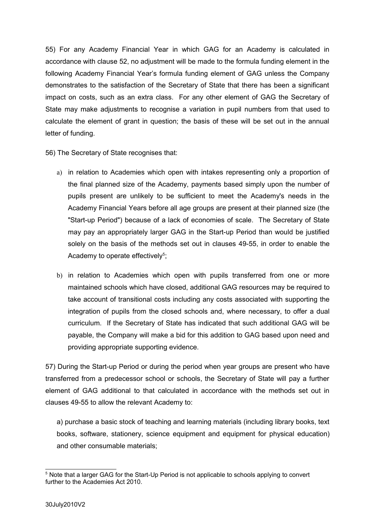55) For any Academy Financial Year in which GAG for an Academy is calculated in accordance with clause 52, no adjustment will be made to the formula funding element in the following Academy Financial Year's formula funding element of GAG unless the Company demonstrates to the satisfaction of the Secretary of State that there has been a significant impact on costs, such as an extra class. For any other element of GAG the Secretary of State may make adjustments to recognise a variation in pupil numbers from that used to calculate the element of grant in question; the basis of these will be set out in the annual letter of funding.

56) The Secretary of State recognises that:

- a) in relation to Academies which open with intakes representing only a proportion of the final planned size of the Academy, payments based simply upon the number of pupils present are unlikely to be sufficient to meet the Academy's needs in the Academy Financial Years before all age groups are present at their planned size (the "Start-up Period") because of a lack of economies of scale. The Secretary of State may pay an appropriately larger GAG in the Start-up Period than would be justified solely on the basis of the methods set out in clauses 49-55, in order to enable the Academy to operate effectively<sup>[5](#page-20-0)</sup>;
- b) in relation to Academies which open with pupils transferred from one or more maintained schools which have closed, additional GAG resources may be required to take account of transitional costs including any costs associated with supporting the integration of pupils from the closed schools and, where necessary, to offer a dual curriculum. If the Secretary of State has indicated that such additional GAG will be payable, the Company will make a bid for this addition to GAG based upon need and providing appropriate supporting evidence.

57) During the Start-up Period or during the period when year groups are present who have transferred from a predecessor school or schools, the Secretary of State will pay a further element of GAG additional to that calculated in accordance with the methods set out in clauses 49-55 to allow the relevant Academy to:

a) purchase a basic stock of teaching and learning materials (including library books, text books, software, stationery, science equipment and equipment for physical education) and other consumable materials;

<span id="page-20-0"></span> $5$  Note that a larger GAG for the Start-Up Period is not applicable to schools applying to convert further to the Academies Act 2010.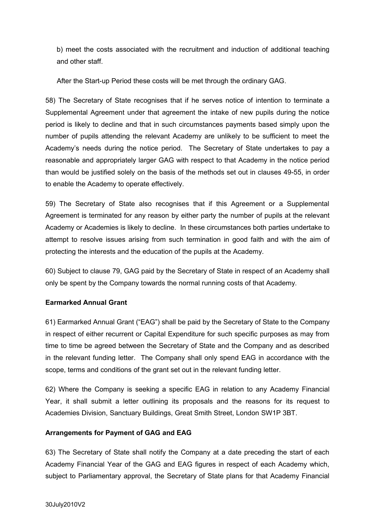b) meet the costs associated with the recruitment and induction of additional teaching and other staff.

After the Start-up Period these costs will be met through the ordinary GAG.

58) The Secretary of State recognises that if he serves notice of intention to terminate a Supplemental Agreement under that agreement the intake of new pupils during the notice period is likely to decline and that in such circumstances payments based simply upon the number of pupils attending the relevant Academy are unlikely to be sufficient to meet the Academy's needs during the notice period. The Secretary of State undertakes to pay a reasonable and appropriately larger GAG with respect to that Academy in the notice period than would be justified solely on the basis of the methods set out in clauses 49-55, in order to enable the Academy to operate effectively.

59) The Secretary of State also recognises that if this Agreement or a Supplemental Agreement is terminated for any reason by either party the number of pupils at the relevant Academy or Academies is likely to decline. In these circumstances both parties undertake to attempt to resolve issues arising from such termination in good faith and with the aim of protecting the interests and the education of the pupils at the Academy.

60) Subject to clause 79, GAG paid by the Secretary of State in respect of an Academy shall only be spent by the Company towards the normal running costs of that Academy.

#### **Earmarked Annual Grant**

61) Earmarked Annual Grant ("EAG") shall be paid by the Secretary of State to the Company in respect of either recurrent or Capital Expenditure for such specific purposes as may from time to time be agreed between the Secretary of State and the Company and as described in the relevant funding letter. The Company shall only spend EAG in accordance with the scope, terms and conditions of the grant set out in the relevant funding letter.

62) Where the Company is seeking a specific EAG in relation to any Academy Financial Year, it shall submit a letter outlining its proposals and the reasons for its request to Academies Division, Sanctuary Buildings, Great Smith Street, London SW1P 3BT.

#### **Arrangements for Payment of GAG and EAG**

63) The Secretary of State shall notify the Company at a date preceding the start of each Academy Financial Year of the GAG and EAG figures in respect of each Academy which, subject to Parliamentary approval, the Secretary of State plans for that Academy Financial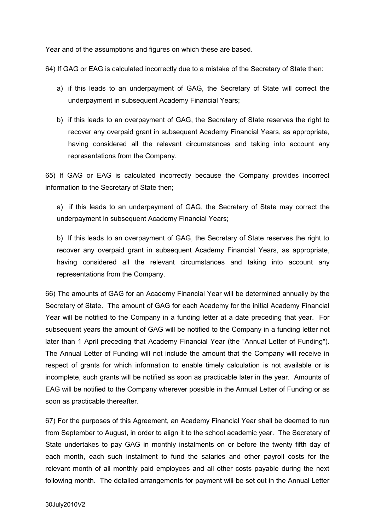Year and of the assumptions and figures on which these are based.

64) If GAG or EAG is calculated incorrectly due to a mistake of the Secretary of State then:

- a) if this leads to an underpayment of GAG, the Secretary of State will correct the underpayment in subsequent Academy Financial Years;
- b) if this leads to an overpayment of GAG, the Secretary of State reserves the right to recover any overpaid grant in subsequent Academy Financial Years, as appropriate, having considered all the relevant circumstances and taking into account any representations from the Company.

65) If GAG or EAG is calculated incorrectly because the Company provides incorrect information to the Secretary of State then;

a) if this leads to an underpayment of GAG, the Secretary of State may correct the underpayment in subsequent Academy Financial Years;

b) If this leads to an overpayment of GAG, the Secretary of State reserves the right to recover any overpaid grant in subsequent Academy Financial Years, as appropriate, having considered all the relevant circumstances and taking into account any representations from the Company.

66) The amounts of GAG for an Academy Financial Year will be determined annually by the Secretary of State. The amount of GAG for each Academy for the initial Academy Financial Year will be notified to the Company in a funding letter at a date preceding that year. For subsequent years the amount of GAG will be notified to the Company in a funding letter not later than 1 April preceding that Academy Financial Year (the "Annual Letter of Funding"). The Annual Letter of Funding will not include the amount that the Company will receive in respect of grants for which information to enable timely calculation is not available or is incomplete, such grants will be notified as soon as practicable later in the year. Amounts of EAG will be notified to the Company wherever possible in the Annual Letter of Funding or as soon as practicable thereafter.

67) For the purposes of this Agreement, an Academy Financial Year shall be deemed to run from September to August, in order to align it to the school academic year. The Secretary of State undertakes to pay GAG in monthly instalments on or before the twenty fifth day of each month, each such instalment to fund the salaries and other payroll costs for the relevant month of all monthly paid employees and all other costs payable during the next following month. The detailed arrangements for payment will be set out in the Annual Letter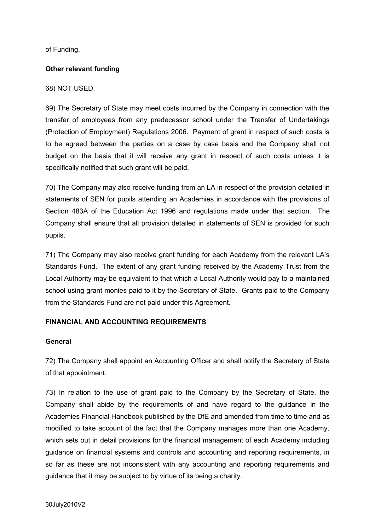of Funding.

#### **Other relevant funding**

#### 68) NOT USED.

69) The Secretary of State may meet costs incurred by the Company in connection with the transfer of employees from any predecessor school under the Transfer of Undertakings (Protection of Employment) Regulations 2006. Payment of grant in respect of such costs is to be agreed between the parties on a case by case basis and the Company shall not budget on the basis that it will receive any grant in respect of such costs unless it is specifically notified that such grant will be paid.

70) The Company may also receive funding from an LA in respect of the provision detailed in statements of SEN for pupils attending an Academies in accordance with the provisions of Section 483A of the Education Act 1996 and regulations made under that section. The Company shall ensure that all provision detailed in statements of SEN is provided for such pupils.

71) The Company may also receive grant funding for each Academy from the relevant LA's Standards Fund. The extent of any grant funding received by the Academy Trust from the Local Authority may be equivalent to that which a Local Authority would pay to a maintained school using grant monies paid to it by the Secretary of State. Grants paid to the Company from the Standards Fund are not paid under this Agreement.

#### **FINANCIAL AND ACCOUNTING REQUIREMENTS**

#### **General**

72) The Company shall appoint an Accounting Officer and shall notify the Secretary of State of that appointment.

73) In relation to the use of grant paid to the Company by the Secretary of State, the Company shall abide by the requirements of and have regard to the guidance in the Academies Financial Handbook published by the DfE and amended from time to time and as modified to take account of the fact that the Company manages more than one Academy, which sets out in detail provisions for the financial management of each Academy including guidance on financial systems and controls and accounting and reporting requirements, in so far as these are not inconsistent with any accounting and reporting requirements and guidance that it may be subject to by virtue of its being a charity.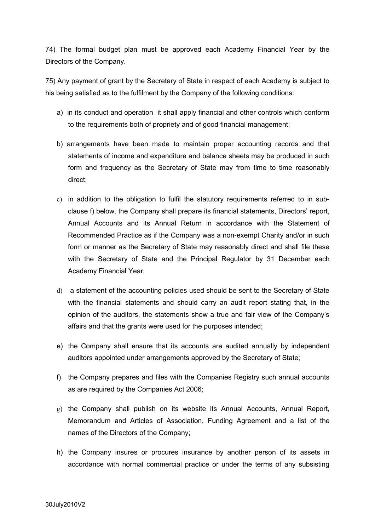74) The formal budget plan must be approved each Academy Financial Year by the Directors of the Company.

75) Any payment of grant by the Secretary of State in respect of each Academy is subject to his being satisfied as to the fulfilment by the Company of the following conditions:

- a) in its conduct and operation it shall apply financial and other controls which conform to the requirements both of propriety and of good financial management;
- b) arrangements have been made to maintain proper accounting records and that statements of income and expenditure and balance sheets may be produced in such form and frequency as the Secretary of State may from time to time reasonably direct;
- c) in addition to the obligation to fulfil the statutory requirements referred to in subclause f) below, the Company shall prepare its financial statements, Directors' report, Annual Accounts and its Annual Return in accordance with the Statement of Recommended Practice as if the Company was a non-exempt Charity and/or in such form or manner as the Secretary of State may reasonably direct and shall file these with the Secretary of State and the Principal Regulator by 31 December each Academy Financial Year;
- d) a statement of the accounting policies used should be sent to the Secretary of State with the financial statements and should carry an audit report stating that, in the opinion of the auditors, the statements show a true and fair view of the Company's affairs and that the grants were used for the purposes intended;
- e) the Company shall ensure that its accounts are audited annually by independent auditors appointed under arrangements approved by the Secretary of State;
- f) the Company prepares and files with the Companies Registry such annual accounts as are required by the Companies Act 2006;
- g) the Company shall publish on its website its Annual Accounts, Annual Report, Memorandum and Articles of Association, Funding Agreement and a list of the names of the Directors of the Company;
- h) the Company insures or procures insurance by another person of its assets in accordance with normal commercial practice or under the terms of any subsisting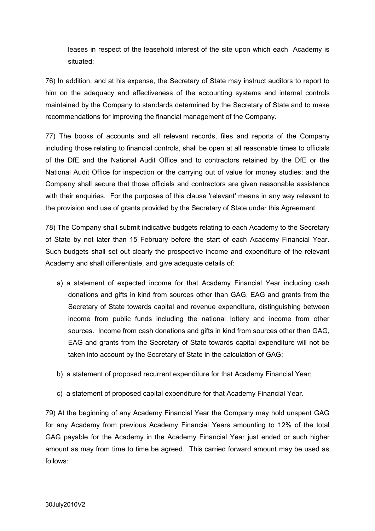leases in respect of the leasehold interest of the site upon which each Academy is situated;

76) In addition, and at his expense, the Secretary of State may instruct auditors to report to him on the adequacy and effectiveness of the accounting systems and internal controls maintained by the Company to standards determined by the Secretary of State and to make recommendations for improving the financial management of the Company.

77) The books of accounts and all relevant records, files and reports of the Company including those relating to financial controls, shall be open at all reasonable times to officials of the DfE and the National Audit Office and to contractors retained by the DfE or the National Audit Office for inspection or the carrying out of value for money studies; and the Company shall secure that those officials and contractors are given reasonable assistance with their enquiries. For the purposes of this clause 'relevant' means in any way relevant to the provision and use of grants provided by the Secretary of State under this Agreement.

78) The Company shall submit indicative budgets relating to each Academy to the Secretary of State by not later than 15 February before the start of each Academy Financial Year. Such budgets shall set out clearly the prospective income and expenditure of the relevant Academy and shall differentiate, and give adequate details of:

- a) a statement of expected income for that Academy Financial Year including cash donations and gifts in kind from sources other than GAG, EAG and grants from the Secretary of State towards capital and revenue expenditure, distinguishing between income from public funds including the national lottery and income from other sources. Income from cash donations and gifts in kind from sources other than GAG, EAG and grants from the Secretary of State towards capital expenditure will not be taken into account by the Secretary of State in the calculation of GAG;
- b) a statement of proposed recurrent expenditure for that Academy Financial Year;
- c) a statement of proposed capital expenditure for that Academy Financial Year.

79) At the beginning of any Academy Financial Year the Company may hold unspent GAG for any Academy from previous Academy Financial Years amounting to 12% of the total GAG payable for the Academy in the Academy Financial Year just ended or such higher amount as may from time to time be agreed. This carried forward amount may be used as follows: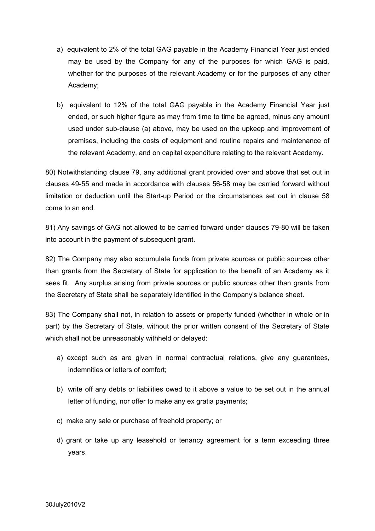- a) equivalent to 2% of the total GAG payable in the Academy Financial Year just ended may be used by the Company for any of the purposes for which GAG is paid, whether for the purposes of the relevant Academy or for the purposes of any other Academy;
- b) equivalent to 12% of the total GAG payable in the Academy Financial Year just ended, or such higher figure as may from time to time be agreed, minus any amount used under sub-clause (a) above, may be used on the upkeep and improvement of premises, including the costs of equipment and routine repairs and maintenance of the relevant Academy, and on capital expenditure relating to the relevant Academy.

80) Notwithstanding clause 79, any additional grant provided over and above that set out in clauses 49-55 and made in accordance with clauses 56-58 may be carried forward without limitation or deduction until the Start-up Period or the circumstances set out in clause 58 come to an end.

81) Any savings of GAG not allowed to be carried forward under clauses 79-80 will be taken into account in the payment of subsequent grant.

82) The Company may also accumulate funds from private sources or public sources other than grants from the Secretary of State for application to the benefit of an Academy as it sees fit. Any surplus arising from private sources or public sources other than grants from the Secretary of State shall be separately identified in the Company's balance sheet.

83) The Company shall not, in relation to assets or property funded (whether in whole or in part) by the Secretary of State, without the prior written consent of the Secretary of State which shall not be unreasonably withheld or delayed:

- a) except such as are given in normal contractual relations, give any guarantees, indemnities or letters of comfort;
- b) write off any debts or liabilities owed to it above a value to be set out in the annual letter of funding, nor offer to make any ex gratia payments;
- c) make any sale or purchase of freehold property; or
- d) grant or take up any leasehold or tenancy agreement for a term exceeding three years.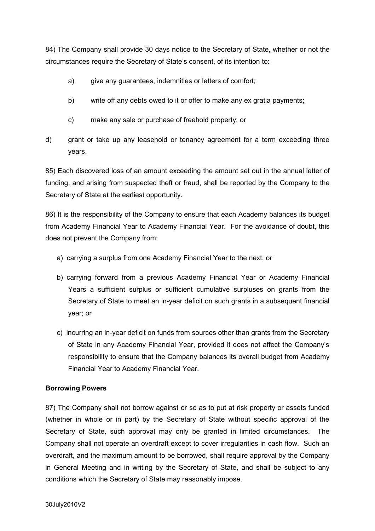84) The Company shall provide 30 days notice to the Secretary of State, whether or not the circumstances require the Secretary of State's consent, of its intention to:

- a) give any quarantees, indemnities or letters of comfort;
- b) write off any debts owed to it or offer to make any ex gratia payments;
- c) make any sale or purchase of freehold property; or
- d) grant or take up any leasehold or tenancy agreement for a term exceeding three years.

85) Each discovered loss of an amount exceeding the amount set out in the annual letter of funding, and arising from suspected theft or fraud, shall be reported by the Company to the Secretary of State at the earliest opportunity.

86) It is the responsibility of the Company to ensure that each Academy balances its budget from Academy Financial Year to Academy Financial Year. For the avoidance of doubt, this does not prevent the Company from:

- a) carrying a surplus from one Academy Financial Year to the next; or
- b) carrying forward from a previous Academy Financial Year or Academy Financial Years a sufficient surplus or sufficient cumulative surpluses on grants from the Secretary of State to meet an in-year deficit on such grants in a subsequent financial year; or
- c) incurring an in-year deficit on funds from sources other than grants from the Secretary of State in any Academy Financial Year, provided it does not affect the Company's responsibility to ensure that the Company balances its overall budget from Academy Financial Year to Academy Financial Year.

## **Borrowing Powers**

87) The Company shall not borrow against or so as to put at risk property or assets funded (whether in whole or in part) by the Secretary of State without specific approval of the Secretary of State, such approval may only be granted in limited circumstances. The Company shall not operate an overdraft except to cover irregularities in cash flow. Such an overdraft, and the maximum amount to be borrowed, shall require approval by the Company in General Meeting and in writing by the Secretary of State, and shall be subject to any conditions which the Secretary of State may reasonably impose.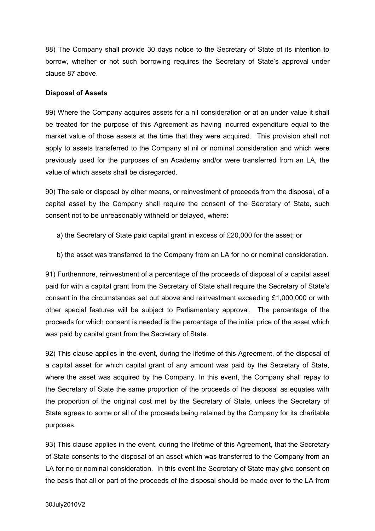88) The Company shall provide 30 days notice to the Secretary of State of its intention to borrow, whether or not such borrowing requires the Secretary of State's approval under clause 87 above.

#### **Disposal of Assets**

89) Where the Company acquires assets for a nil consideration or at an under value it shall be treated for the purpose of this Agreement as having incurred expenditure equal to the market value of those assets at the time that they were acquired. This provision shall not apply to assets transferred to the Company at nil or nominal consideration and which were previously used for the purposes of an Academy and/or were transferred from an LA, the value of which assets shall be disregarded.

90) The sale or disposal by other means, or reinvestment of proceeds from the disposal, of a capital asset by the Company shall require the consent of the Secretary of State, such consent not to be unreasonably withheld or delayed, where:

- a) the Secretary of State paid capital grant in excess of £20,000 for the asset; or
- b) the asset was transferred to the Company from an LA for no or nominal consideration.

91) Furthermore, reinvestment of a percentage of the proceeds of disposal of a capital asset paid for with a capital grant from the Secretary of State shall require the Secretary of State's consent in the circumstances set out above and reinvestment exceeding £1,000,000 or with other special features will be subject to Parliamentary approval. The percentage of the proceeds for which consent is needed is the percentage of the initial price of the asset which was paid by capital grant from the Secretary of State.

92) This clause applies in the event, during the lifetime of this Agreement, of the disposal of a capital asset for which capital grant of any amount was paid by the Secretary of State, where the asset was acquired by the Company. In this event, the Company shall repay to the Secretary of State the same proportion of the proceeds of the disposal as equates with the proportion of the original cost met by the Secretary of State, unless the Secretary of State agrees to some or all of the proceeds being retained by the Company for its charitable purposes.

93) This clause applies in the event, during the lifetime of this Agreement, that the Secretary of State consents to the disposal of an asset which was transferred to the Company from an LA for no or nominal consideration. In this event the Secretary of State may give consent on the basis that all or part of the proceeds of the disposal should be made over to the LA from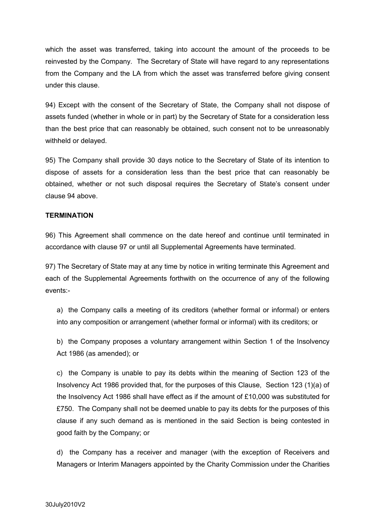which the asset was transferred, taking into account the amount of the proceeds to be reinvested by the Company. The Secretary of State will have regard to any representations from the Company and the LA from which the asset was transferred before giving consent under this clause.

94) Except with the consent of the Secretary of State, the Company shall not dispose of assets funded (whether in whole or in part) by the Secretary of State for a consideration less than the best price that can reasonably be obtained, such consent not to be unreasonably withheld or delayed.

95) The Company shall provide 30 days notice to the Secretary of State of its intention to dispose of assets for a consideration less than the best price that can reasonably be obtained, whether or not such disposal requires the Secretary of State's consent under clause 94 above.

#### **TERMINATION**

96) This Agreement shall commence on the date hereof and continue until terminated in accordance with clause 97 or until all Supplemental Agreements have terminated.

97) The Secretary of State may at any time by notice in writing terminate this Agreement and each of the Supplemental Agreements forthwith on the occurrence of any of the following events:-

a) the Company calls a meeting of its creditors (whether formal or informal) or enters into any composition or arrangement (whether formal or informal) with its creditors; or

b) the Company proposes a voluntary arrangement within Section 1 of the Insolvency Act 1986 (as amended); or

c) the Company is unable to pay its debts within the meaning of Section 123 of the Insolvency Act 1986 provided that, for the purposes of this Clause, Section 123 (1)(a) of the Insolvency Act 1986 shall have effect as if the amount of £10,000 was substituted for £750. The Company shall not be deemed unable to pay its debts for the purposes of this clause if any such demand as is mentioned in the said Section is being contested in good faith by the Company; or

d) the Company has a receiver and manager (with the exception of Receivers and Managers or Interim Managers appointed by the Charity Commission under the Charities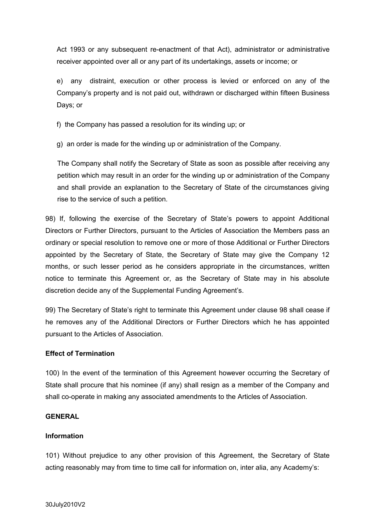Act 1993 or any subsequent re-enactment of that Act), administrator or administrative receiver appointed over all or any part of its undertakings, assets or income; or

e) any distraint, execution or other process is levied or enforced on any of the Company's property and is not paid out, withdrawn or discharged within fifteen Business Days; or

f) the Company has passed a resolution for its winding up; or

g) an order is made for the winding up or administration of the Company.

The Company shall notify the Secretary of State as soon as possible after receiving any petition which may result in an order for the winding up or administration of the Company and shall provide an explanation to the Secretary of State of the circumstances giving rise to the service of such a petition.

98) If, following the exercise of the Secretary of State's powers to appoint Additional Directors or Further Directors, pursuant to the Articles of Association the Members pass an ordinary or special resolution to remove one or more of those Additional or Further Directors appointed by the Secretary of State, the Secretary of State may give the Company 12 months, or such lesser period as he considers appropriate in the circumstances, written notice to terminate this Agreement or, as the Secretary of State may in his absolute discretion decide any of the Supplemental Funding Agreement's.

99) The Secretary of State's right to terminate this Agreement under clause 98 shall cease if he removes any of the Additional Directors or Further Directors which he has appointed pursuant to the Articles of Association.

#### **Effect of Termination**

100) In the event of the termination of this Agreement however occurring the Secretary of State shall procure that his nominee (if any) shall resign as a member of the Company and shall co-operate in making any associated amendments to the Articles of Association.

## **GENERAL**

## **Information**

101) Without prejudice to any other provision of this Agreement, the Secretary of State acting reasonably may from time to time call for information on, inter alia, any Academy's: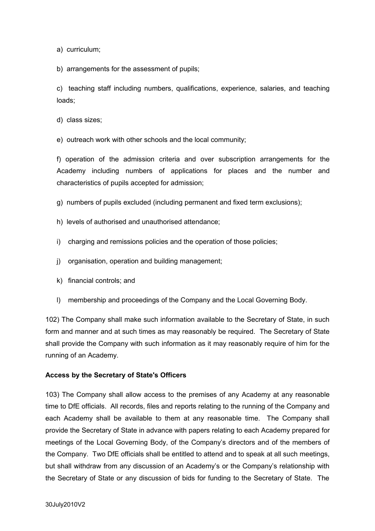a) curriculum;

b) arrangements for the assessment of pupils;

c) teaching staff including numbers, qualifications, experience, salaries, and teaching loads;

d) class sizes;

e) outreach work with other schools and the local community;

f) operation of the admission criteria and over subscription arrangements for the Academy including numbers of applications for places and the number and characteristics of pupils accepted for admission;

- g) numbers of pupils excluded (including permanent and fixed term exclusions);
- h) levels of authorised and unauthorised attendance;
- i) charging and remissions policies and the operation of those policies;
- j) organisation, operation and building management;
- k) financial controls; and
- l) membership and proceedings of the Company and the Local Governing Body.

102) The Company shall make such information available to the Secretary of State, in such form and manner and at such times as may reasonably be required. The Secretary of State shall provide the Company with such information as it may reasonably require of him for the running of an Academy.

#### **Access by the Secretary of State's Officers**

103) The Company shall allow access to the premises of any Academy at any reasonable time to DfE officials. All records, files and reports relating to the running of the Company and each Academy shall be available to them at any reasonable time. The Company shall provide the Secretary of State in advance with papers relating to each Academy prepared for meetings of the Local Governing Body, of the Company's directors and of the members of the Company. Two DfE officials shall be entitled to attend and to speak at all such meetings, but shall withdraw from any discussion of an Academy's or the Company's relationship with the Secretary of State or any discussion of bids for funding to the Secretary of State. The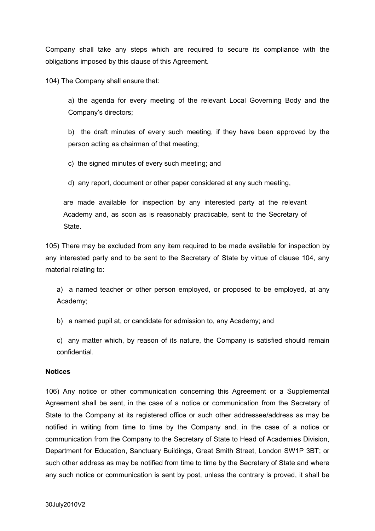Company shall take any steps which are required to secure its compliance with the obligations imposed by this clause of this Agreement.

104) The Company shall ensure that:

a) the agenda for every meeting of the relevant Local Governing Body and the Company's directors;

b) the draft minutes of every such meeting, if they have been approved by the person acting as chairman of that meeting;

c) the signed minutes of every such meeting; and

d) any report, document or other paper considered at any such meeting,

are made available for inspection by any interested party at the relevant Academy and, as soon as is reasonably practicable, sent to the Secretary of State.

105) There may be excluded from any item required to be made available for inspection by any interested party and to be sent to the Secretary of State by virtue of clause 104, any material relating to:

a) a named teacher or other person employed, or proposed to be employed, at any Academy;

b) a named pupil at, or candidate for admission to, any Academy; and

c) any matter which, by reason of its nature, the Company is satisfied should remain confidential.

#### **Notices**

106) Any notice or other communication concerning this Agreement or a Supplemental Agreement shall be sent, in the case of a notice or communication from the Secretary of State to the Company at its registered office or such other addressee/address as may be notified in writing from time to time by the Company and, in the case of a notice or communication from the Company to the Secretary of State to Head of Academies Division, Department for Education, Sanctuary Buildings, Great Smith Street, London SW1P 3BT; or such other address as may be notified from time to time by the Secretary of State and where any such notice or communication is sent by post, unless the contrary is proved, it shall be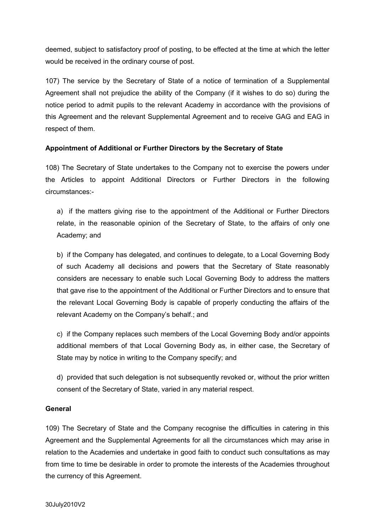deemed, subject to satisfactory proof of posting, to be effected at the time at which the letter would be received in the ordinary course of post.

107) The service by the Secretary of State of a notice of termination of a Supplemental Agreement shall not prejudice the ability of the Company (if it wishes to do so) during the notice period to admit pupils to the relevant Academy in accordance with the provisions of this Agreement and the relevant Supplemental Agreement and to receive GAG and EAG in respect of them.

## **Appointment of Additional or Further Directors by the Secretary of State**

108) The Secretary of State undertakes to the Company not to exercise the powers under the Articles to appoint Additional Directors or Further Directors in the following circumstances:-

a) if the matters giving rise to the appointment of the Additional or Further Directors relate, in the reasonable opinion of the Secretary of State, to the affairs of only one Academy; and

b) if the Company has delegated, and continues to delegate, to a Local Governing Body of such Academy all decisions and powers that the Secretary of State reasonably considers are necessary to enable such Local Governing Body to address the matters that gave rise to the appointment of the Additional or Further Directors and to ensure that the relevant Local Governing Body is capable of properly conducting the affairs of the relevant Academy on the Company's behalf.; and

c) if the Company replaces such members of the Local Governing Body and/or appoints additional members of that Local Governing Body as, in either case, the Secretary of State may by notice in writing to the Company specify; and

d) provided that such delegation is not subsequently revoked or, without the prior written consent of the Secretary of State, varied in any material respect.

#### **General**

109) The Secretary of State and the Company recognise the difficulties in catering in this Agreement and the Supplemental Agreements for all the circumstances which may arise in relation to the Academies and undertake in good faith to conduct such consultations as may from time to time be desirable in order to promote the interests of the Academies throughout the currency of this Agreement.